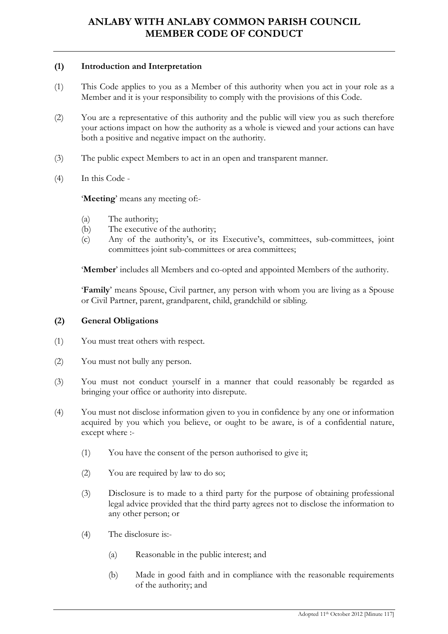## (1) Introduction and Interpretation

- (1) This Code applies to you as a Member of this authority when you act in your role as a Member and it is your responsibility to comply with the provisions of this Code.
- (2) You are a representative of this authority and the public will view you as such therefore your actions impact on how the authority as a whole is viewed and your actions can have both a positive and negative impact on the authority.
- (3) The public expect Members to act in an open and transparent manner.
- (4) In this Code -

'Meeting' means any meeting of:-

- (a) The authority;
- (b) The executive of the authority;
- (c) Any of the authority's, or its Executive's, committees, sub-committees, joint committees joint sub-committees or area committees;

'Member' includes all Members and co-opted and appointed Members of the authority.

'Family' means Spouse, Civil partner, any person with whom you are living as a Spouse or Civil Partner, parent, grandparent, child, grandchild or sibling.

## (2) General Obligations

- (1) You must treat others with respect.
- (2) You must not bully any person.
- (3) You must not conduct yourself in a manner that could reasonably be regarded as bringing your office or authority into disrepute.
- (4) You must not disclose information given to you in confidence by any one or information acquired by you which you believe, or ought to be aware, is of a confidential nature, except where :-
	- (1) You have the consent of the person authorised to give it;
	- (2) You are required by law to do so;
	- (3) Disclosure is to made to a third party for the purpose of obtaining professional legal advice provided that the third party agrees not to disclose the information to any other person; or
	- (4) The disclosure is:-
		- (a) Reasonable in the public interest; and
		- (b) Made in good faith and in compliance with the reasonable requirements of the authority; and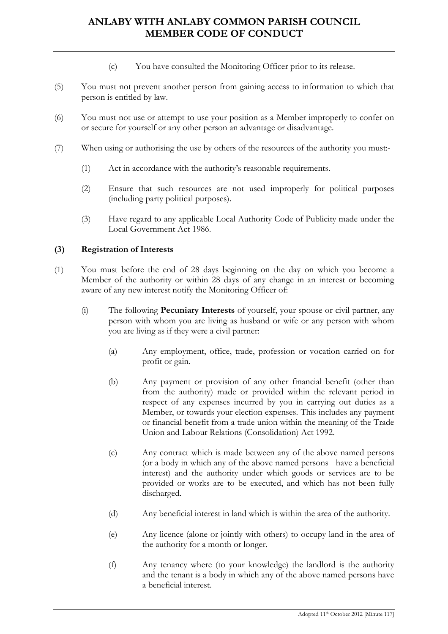- (c) You have consulted the Monitoring Officer prior to its release.
- (5) You must not prevent another person from gaining access to information to which that person is entitled by law.
- (6) You must not use or attempt to use your position as a Member improperly to confer on or secure for yourself or any other person an advantage or disadvantage.
- (7) When using or authorising the use by others of the resources of the authority you must:-
	- (1) Act in accordance with the authority's reasonable requirements.
	- (2) Ensure that such resources are not used improperly for political purposes (including party political purposes).
	- (3) Have regard to any applicable Local Authority Code of Publicity made under the Local Government Act 1986.

## (3) Registration of Interests

- (1) You must before the end of 28 days beginning on the day on which you become a Member of the authority or within 28 days of any change in an interest or becoming aware of any new interest notify the Monitoring Officer of:
	- (i) The following Pecuniary Interests of yourself, your spouse or civil partner, any person with whom you are living as husband or wife or any person with whom you are living as if they were a civil partner:
		- (a) Any employment, office, trade, profession or vocation carried on for profit or gain.
		- (b) Any payment or provision of any other financial benefit (other than from the authority) made or provided within the relevant period in respect of any expenses incurred by you in carrying out duties as a Member, or towards your election expenses. This includes any payment or financial benefit from a trade union within the meaning of the Trade Union and Labour Relations (Consolidation) Act 1992.
		- (c) Any contract which is made between any of the above named persons (or a body in which any of the above named persons have a beneficial interest) and the authority under which goods or services are to be provided or works are to be executed, and which has not been fully discharged.
		- (d) Any beneficial interest in land which is within the area of the authority.
		- (e) Any licence (alone or jointly with others) to occupy land in the area of the authority for a month or longer.
		- (f) Any tenancy where (to your knowledge) the landlord is the authority and the tenant is a body in which any of the above named persons have a beneficial interest.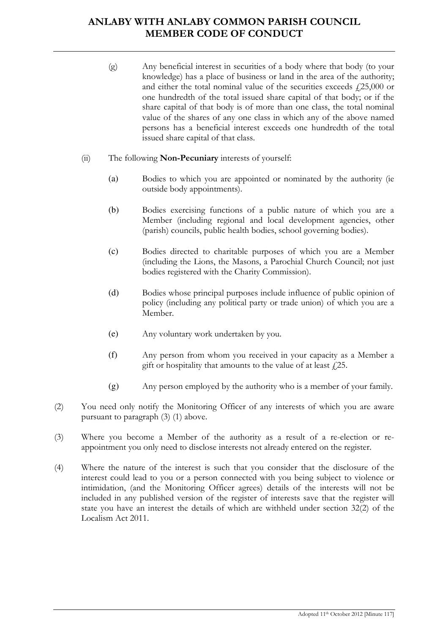- (g) Any beneficial interest in securities of a body where that body (to your knowledge) has a place of business or land in the area of the authority; and either the total nominal value of the securities exceeds  $f(25,000)$  or one hundredth of the total issued share capital of that body; or if the share capital of that body is of more than one class, the total nominal value of the shares of any one class in which any of the above named persons has a beneficial interest exceeds one hundredth of the total issued share capital of that class.
- (ii) The following Non-Pecuniary interests of yourself:
	- (a) Bodies to which you are appointed or nominated by the authority (ie outside body appointments).
	- (b) Bodies exercising functions of a public nature of which you are a Member (including regional and local development agencies, other (parish) councils, public health bodies, school governing bodies).
	- (c) Bodies directed to charitable purposes of which you are a Member (including the Lions, the Masons, a Parochial Church Council; not just bodies registered with the Charity Commission).
	- (d) Bodies whose principal purposes include influence of public opinion of policy (including any political party or trade union) of which you are a Member.
	- (e) Any voluntary work undertaken by you.
	- (f) Any person from whom you received in your capacity as a Member a gift or hospitality that amounts to the value of at least  $\ell$ , 25.
	- (g) Any person employed by the authority who is a member of your family.
- (2) You need only notify the Monitoring Officer of any interests of which you are aware pursuant to paragraph (3) (1) above.
- (3) Where you become a Member of the authority as a result of a re-election or reappointment you only need to disclose interests not already entered on the register.
- (4) Where the nature of the interest is such that you consider that the disclosure of the interest could lead to you or a person connected with you being subject to violence or intimidation, (and the Monitoring Officer agrees) details of the interests will not be included in any published version of the register of interests save that the register will state you have an interest the details of which are withheld under section 32(2) of the Localism Act 2011.